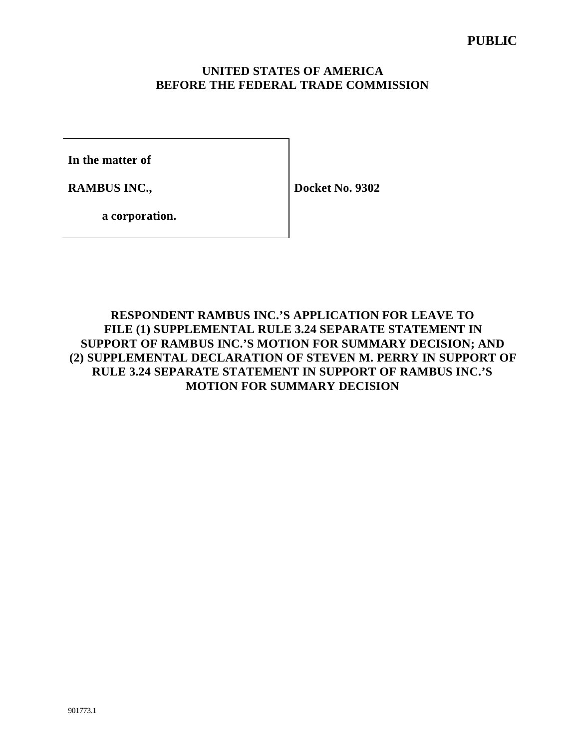## **UNITED STATES OF AMERICA BEFORE THE FEDERAL TRADE COMMISSION**

**In the matter of**

**RAMBUS INC.,** 

**Docket No. 9302**

**a corporation.**

## **RESPONDENT RAMBUS INC.'S APPLICATION FOR LEAVE TO FILE (1) SUPPLEMENTAL RULE 3.24 SEPARATE STATEMENT IN SUPPORT OF RAMBUS INC.'S MOTION FOR SUMMARY DECISION; AND (2) SUPPLEMENTAL DECLARATION OF STEVEN M. PERRY IN SUPPORT OF RULE 3.24 SEPARATE STATEMENT IN SUPPORT OF RAMBUS INC.'S MOTION FOR SUMMARY DECISION**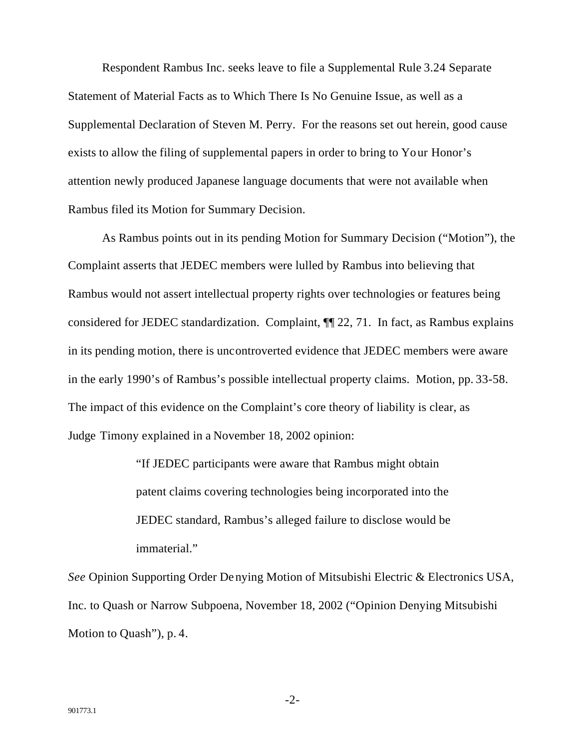Respondent Rambus Inc. seeks leave to file a Supplemental Rule 3.24 Separate Statement of Material Facts as to Which There Is No Genuine Issue, as well as a Supplemental Declaration of Steven M. Perry. For the reasons set out herein, good cause exists to allow the filing of supplemental papers in order to bring to Yo ur Honor's attention newly produced Japanese language documents that were not available when Rambus filed its Motion for Summary Decision.

As Rambus points out in its pending Motion for Summary Decision ("Motion"), the Complaint asserts that JEDEC members were lulled by Rambus into believing that Rambus would not assert intellectual property rights over technologies or features being considered for JEDEC standardization. Complaint, ¶¶ 22, 71. In fact, as Rambus explains in its pending motion, there is uncontroverted evidence that JEDEC members were aware in the early 1990's of Rambus's possible intellectual property claims. Motion, pp. 33-58. The impact of this evidence on the Complaint's core theory of liability is clear, as Judge Timony explained in a November 18, 2002 opinion:

> "If JEDEC participants were aware that Rambus might obtain patent claims covering technologies being incorporated into the JEDEC standard, Rambus's alleged failure to disclose would be immaterial."

*See* Opinion Supporting Order Denying Motion of Mitsubishi Electric & Electronics USA, Inc. to Quash or Narrow Subpoena, November 18, 2002 ("Opinion Denying Mitsubishi Motion to Quash"), p. 4.

-2-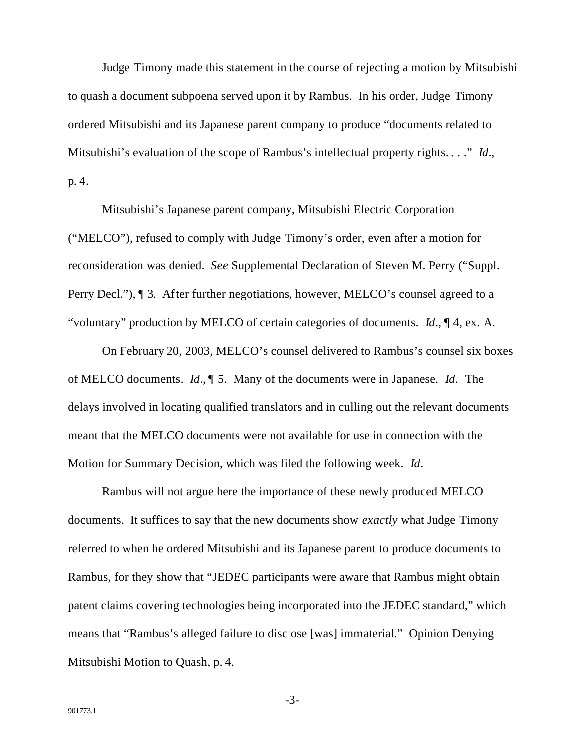Judge Timony made this statement in the course of rejecting a motion by Mitsubishi to quash a document subpoena served upon it by Rambus. In his order, Judge Timony ordered Mitsubishi and its Japanese parent company to produce "documents related to Mitsubishi's evaluation of the scope of Rambus's intellectual property rights. . . ." *Id*., p. 4.

Mitsubishi's Japanese parent company, Mitsubishi Electric Corporation ("MELCO"), refused to comply with Judge Timony's order, even after a motion for reconsideration was denied. *See* Supplemental Declaration of Steven M. Perry ("Suppl. Perry Decl."), ¶ 3. After further negotiations, however, MELCO's counsel agreed to a "voluntary" production by MELCO of certain categories of documents. *Id*., ¶ 4, ex. A.

On February 20, 2003, MELCO's counsel delivered to Rambus's counsel six boxes of MELCO documents. *Id*., ¶ 5. Many of the documents were in Japanese. *Id*. The delays involved in locating qualified translators and in culling out the relevant documents meant that the MELCO documents were not available for use in connection with the Motion for Summary Decision, which was filed the following week. *Id*.

Rambus will not argue here the importance of these newly produced MELCO documents. It suffices to say that the new documents show *exactly* what Judge Timony referred to when he ordered Mitsubishi and its Japanese parent to produce documents to Rambus, for they show that "JEDEC participants were aware that Rambus might obtain patent claims covering technologies being incorporated into the JEDEC standard," which means that "Rambus's alleged failure to disclose [was] immaterial." Opinion Denying Mitsubishi Motion to Quash, p. 4.

-3-